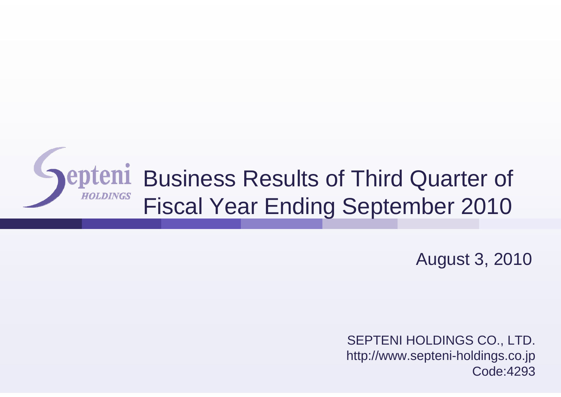

August 3, 2010

SEPTENI HOLDINGS CO., LTD. http://www.septeni-holdings.co.jp Code:4293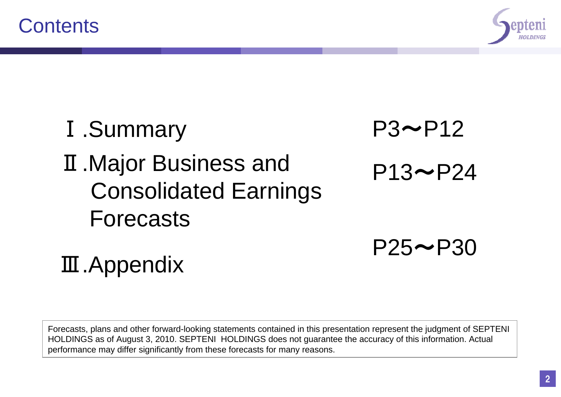

 $P25 \rightarrow P30$ 

#### Ⅰ.Summary Ⅱ.Major Business and Consolidated Earnings Forecasts  $P3~P12$  $P13 \rightarrow P24$

Ⅲ.Appendix

Forecasts, plans and other forward-looking statements contained in this presentation represent the judgment of SEPTENI HOLDINGS as of August 3, 2010. SEPTENI HOLDINGS does not guarantee the accuracy of this information. Actual performance may differ significantly from these forecasts for many reasons.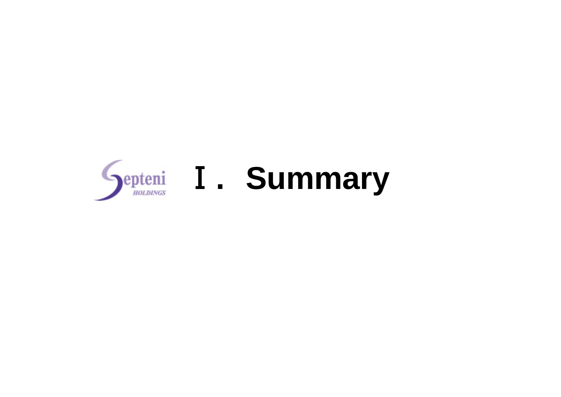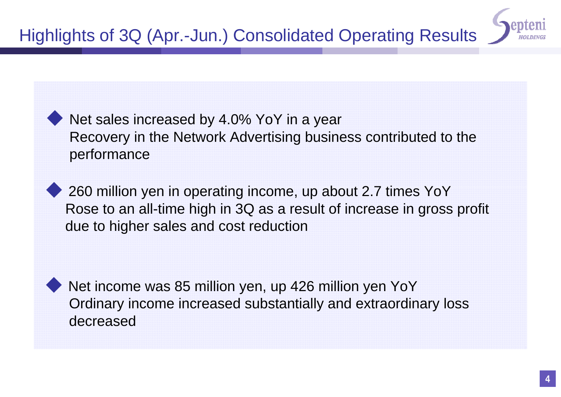## Highlights of 3Q (Apr.-Jun.) Consolidated Operating Results

Net sales increased by 4.0% YoY in a year Recovery in the Network Advertising business contributed to the performance

260 million yen in operating income, up about 2.7 times YoY Rose to an all-time high in 3Q as a result of increase in gross profit due to higher sales and cost reduction

Net income was 85 million yen, up 426 million yen YoY Ordinary income increased substantially and extraordinary loss decreased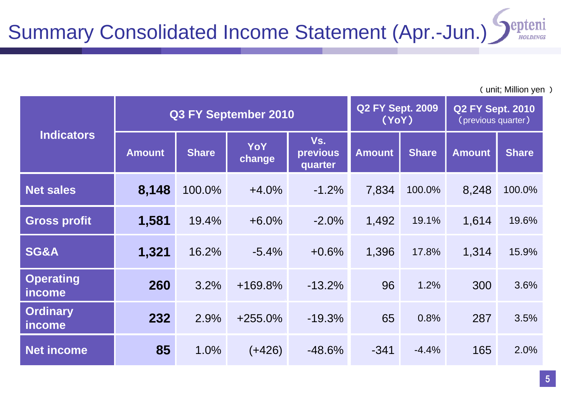| <b>Indicators</b>          |               |              | Q3 FY September 2010 |                            | <b>Q2 FY Sept. 2009</b><br><b>Q2 FY Sept. 2010</b><br>(YoY)<br>(previous quarter) |              |               |              |
|----------------------------|---------------|--------------|----------------------|----------------------------|-----------------------------------------------------------------------------------|--------------|---------------|--------------|
|                            | <b>Amount</b> | <b>Share</b> | YoY<br>change        | Vs.<br>previous<br>quarter | <b>Amount</b>                                                                     | <b>Share</b> | <b>Amount</b> | <b>Share</b> |
| <b>Net sales</b>           | 8,148         | 100.0%       | $+4.0%$              | $-1.2%$                    | 7,834                                                                             | 100.0%       | 8,248         | 100.0%       |
| <b>Gross profit</b>        | 1,581         | 19.4%        | $+6.0%$              | $-2.0%$                    | 1,492                                                                             | 19.1%        | 1,614         | 19.6%        |
| SG&A                       | 1,321         | 16.2%        | $-5.4%$              | $+0.6%$                    | 1,396                                                                             | 17.8%        | 1,314         | 15.9%        |
| <b>Operating</b><br>income | 260           | 3.2%         | $+169.8%$            | $-13.2%$                   | 96                                                                                | 1.2%         | 300           | 3.6%         |
| <b>Ordinary</b><br>income  | 232           | 2.9%         | $+255.0%$            | $-19.3%$                   | 65                                                                                | 0.8%         | 287           | 3.5%         |
| <b>Net income</b>          | 85            | 1.0%         | $(+426)$             | $-48.6%$                   | $-341$                                                                            | $-4.4%$      | 165           | 2.0%         |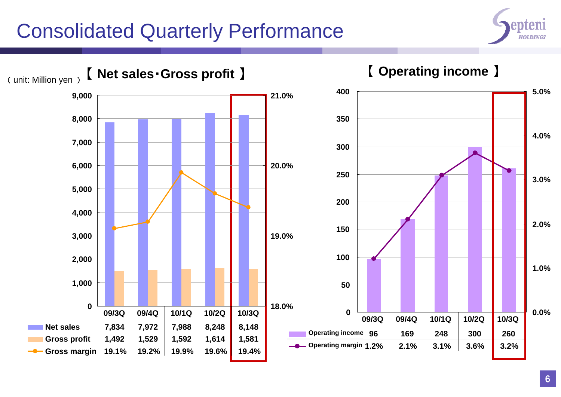## Consolidated Quarterly Performance



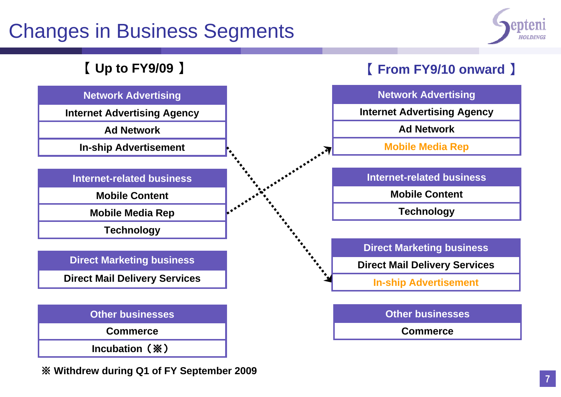## Changes in Business Segments



#### 【 **Up to FY9/09** 】

#### **Network Advertising**

**Internet Advertising Agency**

**Ad Network**

**In-ship Advertisement**

**Internet-related business**

**Mobile Content**

**Mobile Media Rep**

**Technology**

**Direct Marketing business**

**Direct Mail Delivery Services**

| <b>Other businesses</b> |
|-------------------------|
| <b>Commerce</b>         |
| Incubation (※)          |

※ **Withdrew during Q1 of FY September 2009**

#### 【 **From FY9/10 onward** 】



**Direct Mail Delivery Services**

**In-ship Advertisement**

**Other businesses**

**Commerce**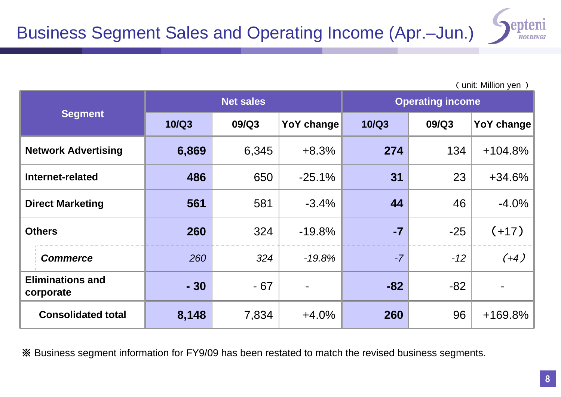|                                      |              | <b>Net sales</b> |                   | <b>Operating income</b> |       |            |
|--------------------------------------|--------------|------------------|-------------------|-------------------------|-------|------------|
| <b>Segment</b>                       | <b>10/Q3</b> | 09/Q3            | <b>YoY change</b> | <b>10/Q3</b>            | 09/Q3 | YoY change |
| <b>Network Advertising</b>           | 6,869        | 6,345            | $+8.3%$           | 274                     | 134   | $+104.8%$  |
| Internet-related                     | 486          | 650              | $-25.1%$          | 31                      | 23    | $+34.6%$   |
| <b>Direct Marketing</b>              | 561          | 581              | $-3.4%$           | 44                      | 46    | $-4.0%$    |
| <b>Others</b>                        | 260          | 324              | $-19.8%$          | $-7$                    | $-25$ | $(+17)$    |
| <b>Commerce</b>                      | 260          | 324              | $-19.8%$          | $-7$                    | $-12$ | $(+4)$     |
| <b>Eliminations and</b><br>corporate | $-30$        | $-67$            |                   | $-82$                   | $-82$ |            |
| <b>Consolidated total</b>            | 8,148        | 7,834            | $+4.0%$           | 260                     | 96    | $+169.8%$  |

※ Business segment information for FY9/09 has been restated to match the revised business segments.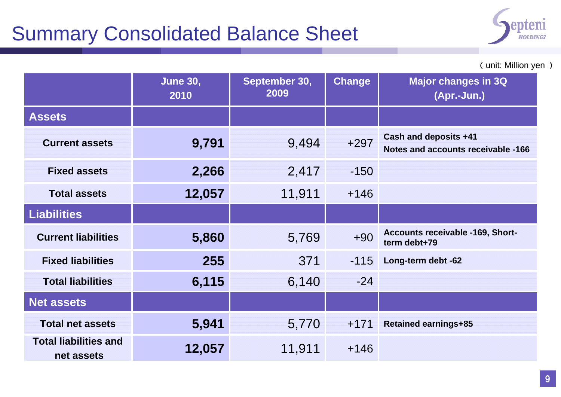## Summary Consolidated Balance Sheet



( unit: Million yen )

|                                            | <b>June 30,</b><br>2010 | September 30,<br>2009 | <b>Change</b> | <b>Major changes in 3Q</b><br>(Apr.-Jun.)                   |
|--------------------------------------------|-------------------------|-----------------------|---------------|-------------------------------------------------------------|
| <b>Assets</b>                              |                         |                       |               |                                                             |
| <b>Current assets</b>                      | 9,791                   | 9,494                 | $+297$        | Cash and deposits +41<br>Notes and accounts receivable -166 |
| <b>Fixed assets</b>                        | 2,266                   | 2,417                 | $-150$        |                                                             |
| <b>Total assets</b>                        | 12,057                  | 11,911                | $+146$        |                                                             |
| <b>Liabilities</b>                         |                         |                       |               |                                                             |
| <b>Current liabilities</b>                 | 5,860                   | 5,769                 | $+90$         | Accounts receivable -169, Short-<br>term debt+79            |
| <b>Fixed liabilities</b>                   | 255                     | 371                   | $-115$        | Long-term debt -62                                          |
| <b>Total liabilities</b>                   | 6,115                   | 6,140                 | $-24$         |                                                             |
| <b>Net assets</b>                          |                         |                       |               |                                                             |
| <b>Total net assets</b>                    | 5,941                   | 5,770                 | $+171$        | <b>Retained earnings+85</b>                                 |
| <b>Total liabilities and</b><br>net assets | 12,057                  | 11,911                | $+146$        |                                                             |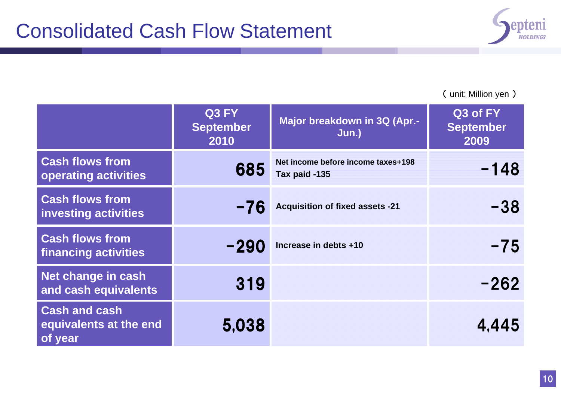

|                                                           | Q3 FY<br><b>September</b><br>2010 | Major breakdown in 3Q (Apr.-<br>Jun.)               | Q3 of FY<br><b>September</b><br>2009 |
|-----------------------------------------------------------|-----------------------------------|-----------------------------------------------------|--------------------------------------|
| <b>Cash flows from</b><br>operating activities            | 685                               | Net income before income taxes+198<br>Tax paid -135 | $-148$                               |
| <b>Cash flows from</b><br><b>investing activities</b>     | $-76$                             | <b>Acquisition of fixed assets -21</b>              | $-38$                                |
| <b>Cash flows from</b><br><b>financing activities</b>     | -290                              | Increase in debts +10                               | $-75$                                |
| Net change in cash<br>and cash equivalents                | 319                               |                                                     | $-262$                               |
| <b>Cash and cash</b><br>equivalents at the end<br>of year | 5,038                             |                                                     | 4,445                                |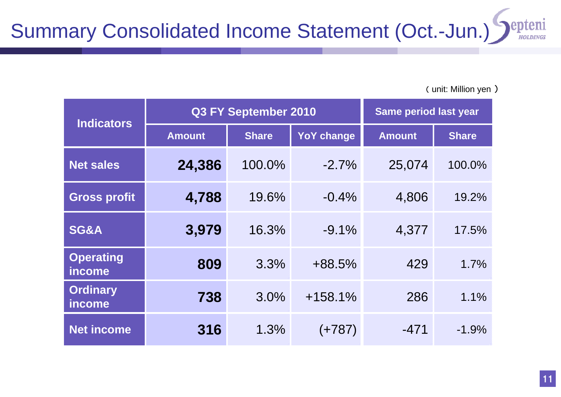| <b>Indicators</b>          |               | Q3 FY September 2010 | <b>Same period last year</b> |               |              |
|----------------------------|---------------|----------------------|------------------------------|---------------|--------------|
|                            | <b>Amount</b> | <b>Share</b>         | <b>YoY change</b>            | <b>Amount</b> | <b>Share</b> |
| <b>Net sales</b>           | 24,386        | 100.0%               | $-2.7%$                      | 25,074        | 100.0%       |
| <b>Gross profit</b>        | 4,788         | 19.6%                | $-0.4%$                      | 4,806         | 19.2%        |
| SG&A                       | 3,979         | 16.3%                | $-9.1\%$                     | 4,377         | 17.5%        |
| <b>Operating</b><br>income | 809           | 3.3%                 | $+88.5%$                     | 429           | 1.7%         |
| <b>Ordinary</b><br>income  | 738           | 3.0%                 | $+158.1%$                    | 286           | 1.1%         |
| <b>Net income</b>          | 316           | 1.3%                 | $(+787)$                     | $-471$        | $-1.9%$      |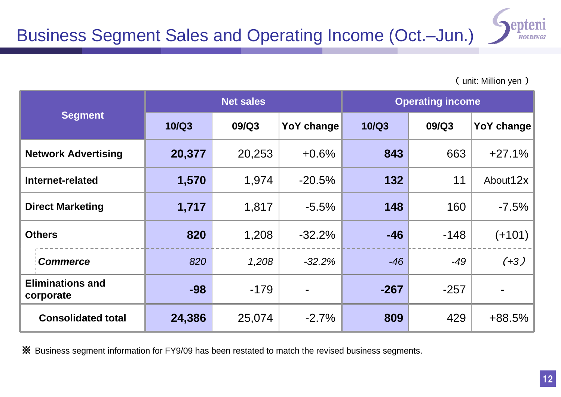| <b>Segment</b>                       |              | <b>Net sales</b> |                   | <b>Operating income</b> |        |                   |
|--------------------------------------|--------------|------------------|-------------------|-------------------------|--------|-------------------|
|                                      | <b>10/Q3</b> | 09/Q3            | <b>YoY change</b> | <b>10/Q3</b>            | 09/Q3  | <b>YoY change</b> |
| <b>Network Advertising</b>           | 20,377       | 20,253           | $+0.6%$           | 843                     | 663    | $+27.1%$          |
| Internet-related                     | 1,570        | 1,974            | $-20.5%$          | 132                     | 11     | About 12x         |
| <b>Direct Marketing</b>              | 1,717        | 1,817            | $-5.5%$           | 148                     | 160    | $-7.5%$           |
| <b>Others</b>                        | 820          | 1,208            | $-32.2%$          | $-46$                   | $-148$ | $(+101)$          |
| <b>Commerce</b>                      | 820          | 1,208            | $-32.2%$          | $-46$                   | -49    | $(+3)$            |
| <b>Eliminations and</b><br>corporate | $-98$        | $-179$           |                   | $-267$                  | $-257$ |                   |
| <b>Consolidated total</b>            | 24,386       | 25,074           | $-2.7%$           | 809                     | 429    | $+88.5%$          |

※ Business segment information for FY9/09 has been restated to match the revised business segments.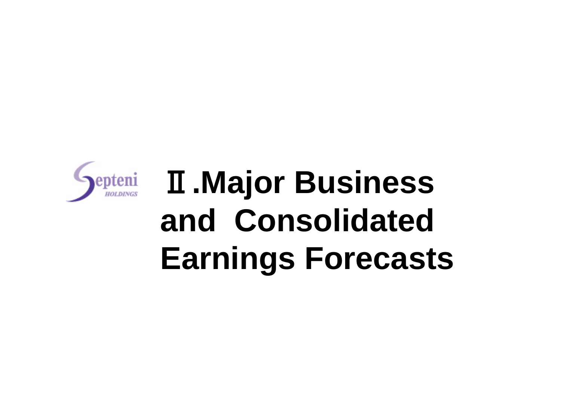

# Ⅱ**.Major Business and Consolidated Earnings Forecasts**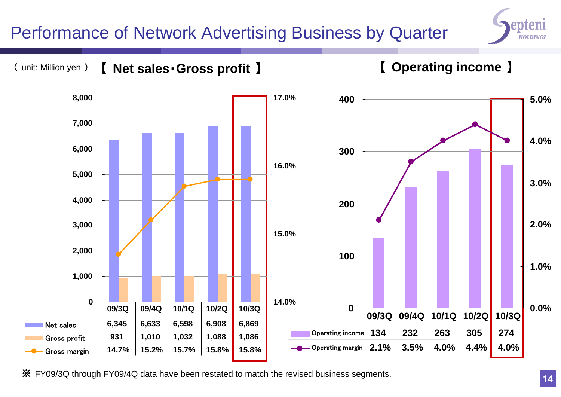#### Performance of Network Advertising Business by Quarter



#### ( unit: Million yen ) 【 **Net sales**・**Gross profit** 】

【 **Operating income** 】



※ FY09/3Q through FY09/4Q data have been restated to match the revised business segments.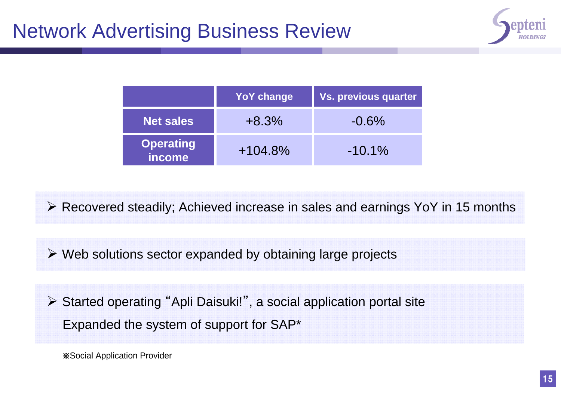

|                            | <b>YoY change</b> | <b>Vs. previous quarter</b> |
|----------------------------|-------------------|-----------------------------|
| <b>Net sales</b>           | $+8.3%$           | $-0.6\%$                    |
| <b>Operating</b><br>income | $+104.8%$         | $-10.1\%$                   |

Recovered steadily; Achieved increase in sales and earnings YoY in 15 months

Web solutions sector expanded by obtaining large projects

 Started operating "Apli Daisuki! ", a social application portal site Expanded the system of support for SAP\*

※Social Application Provider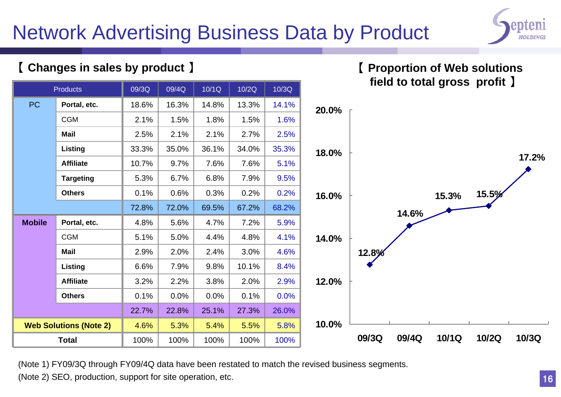## Network Advertising Business Data by Product



**17.2%**

#### 【 **Proportion of Web solutions field to total gross profit** 】 100%5.5%27.3%0.1%2.0% 10.1%3.0%4.8%7.2%67.2%0.2% 0.2% 7.9%7.6% 5.1% 34.0% 2.7% 2.5% 1.5%13.3% 10/2Q% | 100% | 100% | 100% 5.4%% | 25.1% | 27.3% | 26.0%  $\%$   $\parallel$  0.0%  $\parallel$  0.1%  $\parallel$  0.0% % | 3.8% | 2.0% | 2.9% 9.8%% | 2.4% | 3.0% | 4.6% % | 4.4% | 4.8% | 4.1% 4.7%% | 69.5% | 67.2% | 68.2% 0.3%6.8%7.6%36.1% 2.1%% | 1.8% | 1.5% | 1.6% 14.8%10/1Q 10/3Q 100% 100%4.6%22.7%s  $0.1\%$   $0.0\%$ 3.2% 2.2%6.6% $\vert$  2.9% 2.0% 5.1% 5.0%4.8%72.8%0.1% 0.6%5.3%10.7% 9.7%33.3% $\vert$  2.5% 2.1% 2.1% 1.5%18.6%09/3Q 09/4Q**Web Solutions (Note 2)** 4.6% 5.3% 5.4% 5.5% 5.8% **Products** PC**Portal, etc.** 18.6% 16.3% 14.8% 13.3% 14.1% CGM**MailListing** 35.0% 35.3% **AffiliateTargeting** 6.7% 9.5% **Others**72.0%**MobilePortal, etc.** 4.8% 5.6% 4.7% 7.2% 5.9% CGM**MailListing** 7.9% 8.4% **AffiliateOthers**22.8%**Total15.3% 15.5% 14.6%12.8% 10.0%12.0%14.0%16.0%18.0%20.0%09/3Q 09/4Q 10/1Q 10/2Q 10/3Q**

【 **Changes in sales by product** 】

(Note 1) FY09/3Q through FY09/4Q data have been restated to match the revised business segments.

(Note 2) SEO, production, support for site operation, etc.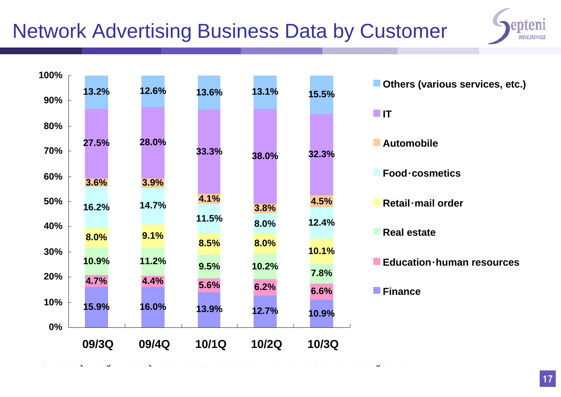## Network Advertising Business Data by Customer



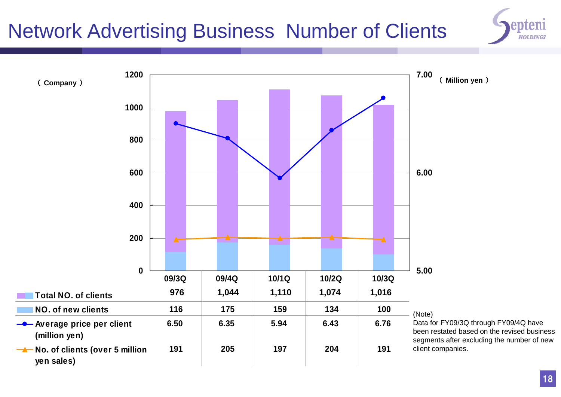## Network Advertising Business Number of Clients



**0200 400600800100012005.006.007.00 Total NO. of clients 860 869 951 940 916 NO. of new clients 116 175 159 134 100 -C**-Average price per client **(million yen) 6.50 6.35 5.94 6.43 6.76** 6.76 **No. of clients (over 5 million yen sales) 191 205 197 204 19109/3Q 09/4Q 10/1Q 10/2Q 10/3Q**( **Company** ) ( **Million yen** ) (Note) Data for FY09/3Q through FY09/4Q have been restated based on the revised business segments after excluding the number of new client companies. **9761,044 1,110 1,074 1,016**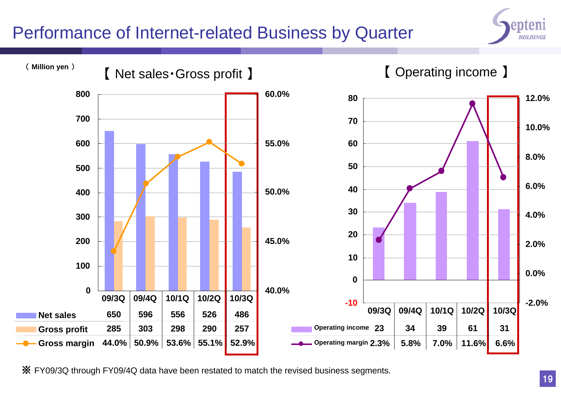#### Performance of Internet-related Business by Quarter





※ FY09/3Q through FY09/4Q data have been restated to match the revised business segments.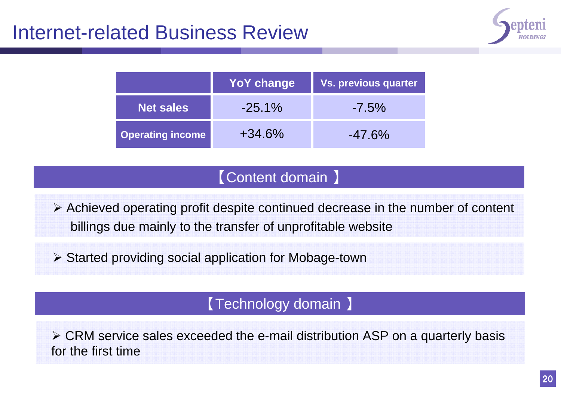#### Internet-related Business Review



|                         | <b>YoY change</b> | <b>Vs. previous quarter</b> |
|-------------------------|-------------------|-----------------------------|
| <b>Net sales</b>        | $-25.1\%$         | $-7.5\%$                    |
| <b>Operating income</b> | $+34.6\%$         | $-47.6\%$                   |

#### 【Content domain 】

 Achieved operating profit despite continued decrease in the number of content billings due mainly to the transfer of unprofitable website

**≻ Started providing social application for Mobage-town** 

#### 【Technology domain 】

 CRM service sales exceeded the e-mail distribution ASP on a quarterly basis for the first time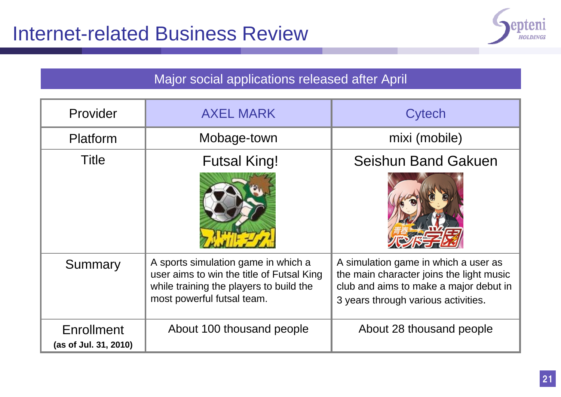

#### Major social applications released after April

| Provider                                   | <b>AXEL MARK</b>                                                                                                                                          | Cytech                                                                                                                                                            |
|--------------------------------------------|-----------------------------------------------------------------------------------------------------------------------------------------------------------|-------------------------------------------------------------------------------------------------------------------------------------------------------------------|
| Platform                                   | Mobage-town                                                                                                                                               | mixi (mobile)                                                                                                                                                     |
| <b>Title</b>                               | <b>Futsal King!</b>                                                                                                                                       | <b>Seishun Band Gakuen</b>                                                                                                                                        |
| Summary                                    | A sports simulation game in which a<br>user aims to win the title of Futsal King<br>while training the players to build the<br>most powerful futsal team. | A simulation game in which a user as<br>the main character joins the light music<br>club and aims to make a major debut in<br>3 years through various activities. |
| <b>Enrollment</b><br>(as of Jul. 31, 2010) | About 100 thousand people                                                                                                                                 | About 28 thousand people                                                                                                                                          |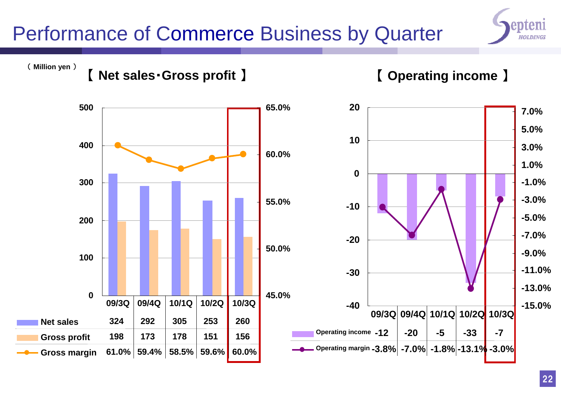## Performance of Commerce Business by Quarter



## ( **Million yen** ) 【 **Net sales**・**Gross profit** 】 【 **Operating income** 】

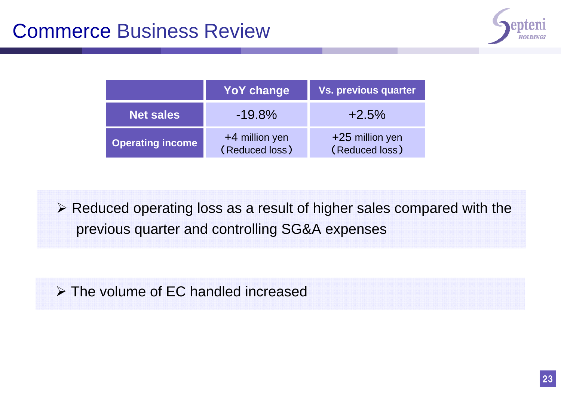

|                         | <b>YoY change</b>                  | <b>Vs. previous quarter</b>         |  |  |
|-------------------------|------------------------------------|-------------------------------------|--|--|
| <b>Net sales</b>        | $-19.8\%$                          | $+2.5\%$                            |  |  |
| <b>Operating income</b> | $+4$ million yen<br>(Reduced loss) | $+25$ million yen<br>(Reduced loss) |  |  |

 $\triangleright$  Reduced operating loss as a result of higher sales compared with the previous quarter and controlling SG&A expenses

The volume of EC handled increased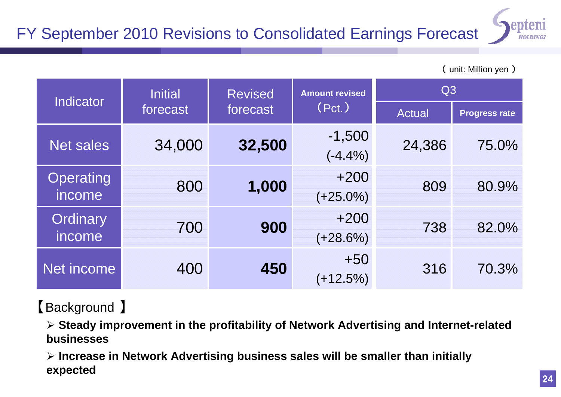

| <b>Indicator</b>           | <b>Initial</b>       | <b>Revised</b> | <b>Amount revised</b> | Q3            |                      |  |
|----------------------------|----------------------|----------------|-----------------------|---------------|----------------------|--|
|                            | forecast<br>forecast |                | (Pct.)                | <b>Actual</b> | <b>Progress rate</b> |  |
| <b>Net sales</b>           | 34,000               | 32,500         | $-1,500$<br>$(-4.4%)$ | 24,386        | 75.0%                |  |
| <b>Operating</b><br>income | 800                  | 1,000          | $+200$<br>$(+25.0\%)$ | 809           | 80.9%                |  |
| Ordinary<br>income         | 700                  | 900            | $+200$<br>$(+28.6%)$  | 738           | 82.0%                |  |
| Net income                 | 400                  | 450            | $+50$<br>$(+12.5%)$   | 316           | 70.3%                |  |

#### 【Background 】

 **Steady improvement in the profitability of Network Advertising and Internet-related businesses**

 **Increase in Network Advertising business sales will be smaller than initially expected**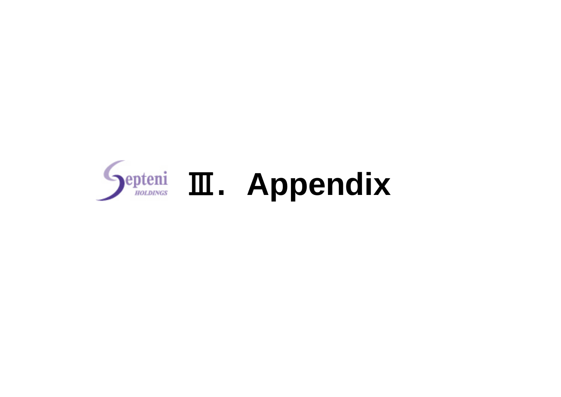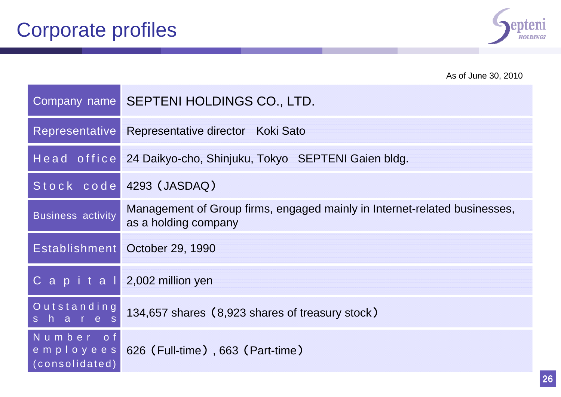

|                                          | As of June 30, 2010                                                                               |
|------------------------------------------|---------------------------------------------------------------------------------------------------|
|                                          | Company name SEPTENI HOLDINGS CO., LTD.                                                           |
| Representative                           | Representative director Koki Sato                                                                 |
|                                          | Head office 24 Daikyo-cho, Shinjuku, Tokyo SEPTENI Gaien bldg.                                    |
|                                          | Stock code 4293 (JASDAQ)                                                                          |
| <b>Business activity</b>                 | Management of Group firms, engaged mainly in Internet-related businesses,<br>as a holding company |
|                                          | Establishment October 29, 1990                                                                    |
|                                          | C a $p$ i t a $l$ 2,002 million yen                                                               |
| Outstanding<br>shares                    | 134,657 shares (8,923 shares of treasury stock)                                                   |
| Number of<br>employees<br>(consolidated) | 626 (Full-time), 663 (Part-time)                                                                  |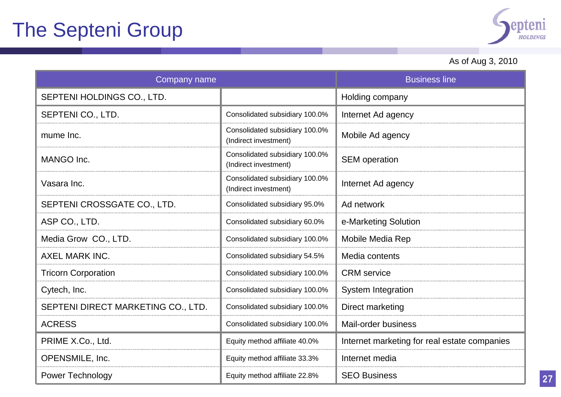

#### As of Aug 3, 2010

| Company name                       | <b>Business line</b>                                    |                                              |
|------------------------------------|---------------------------------------------------------|----------------------------------------------|
| SEPTENI HOLDINGS CO., LTD.         |                                                         | Holding company                              |
| SEPTENI CO., LTD.                  | Consolidated subsidiary 100.0%                          | Internet Ad agency                           |
| mume Inc.                          | Consolidated subsidiary 100.0%<br>(Indirect investment) | Mobile Ad agency                             |
| MANGO Inc.                         | Consolidated subsidiary 100.0%<br>(Indirect investment) | <b>SEM</b> operation                         |
| Vasara Inc.                        | Consolidated subsidiary 100.0%<br>(Indirect investment) | Internet Ad agency                           |
| SEPTENI CROSSGATE CO., LTD.        | Consolidated subsidiary 95.0%                           | Ad network                                   |
| ASP CO., LTD.                      | Consolidated subsidiary 60.0%                           | e-Marketing Solution                         |
| Media Grow CO., LTD.               | Consolidated subsidiary 100.0%                          | Mobile Media Rep                             |
| <b>AXEL MARK INC.</b>              | Consolidated subsidiary 54.5%                           | Media contents                               |
| <b>Tricorn Corporation</b>         | Consolidated subsidiary 100.0%                          | <b>CRM</b> service                           |
| Cytech, Inc.                       | Consolidated subsidiary 100.0%                          | <b>System Integration</b>                    |
| SEPTENI DIRECT MARKETING CO., LTD. | Consolidated subsidiary 100.0%                          | Direct marketing                             |
| <b>ACRESS</b>                      | Consolidated subsidiary 100.0%                          | Mail-order business                          |
| PRIME X.Co., Ltd.                  | Equity method affiliate 40.0%                           | Internet marketing for real estate companies |
| OPENSMILE, Inc.                    | Equity method affiliate 33.3%                           | Internet media                               |
| Power Technology                   | Equity method affiliate 22.8%                           | <b>SEO Business</b>                          |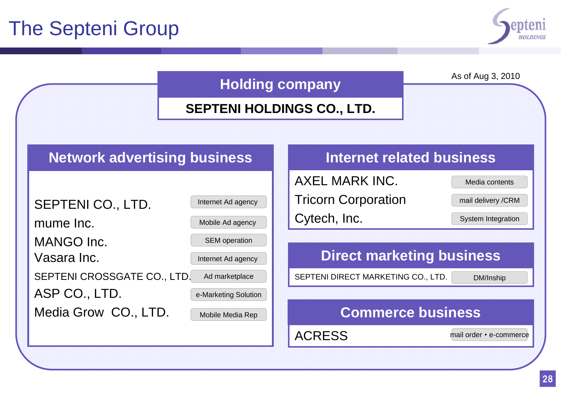

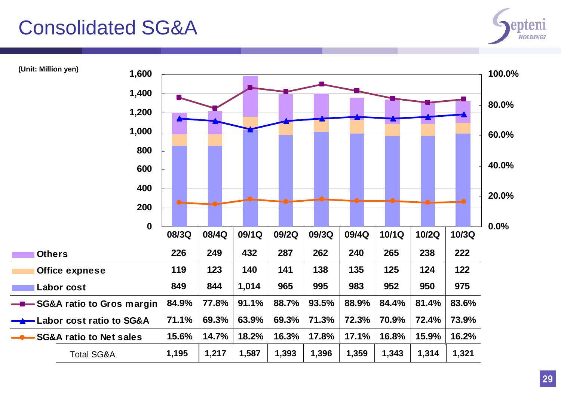### Consolidated SG&A



**(Unit: Million yen)**